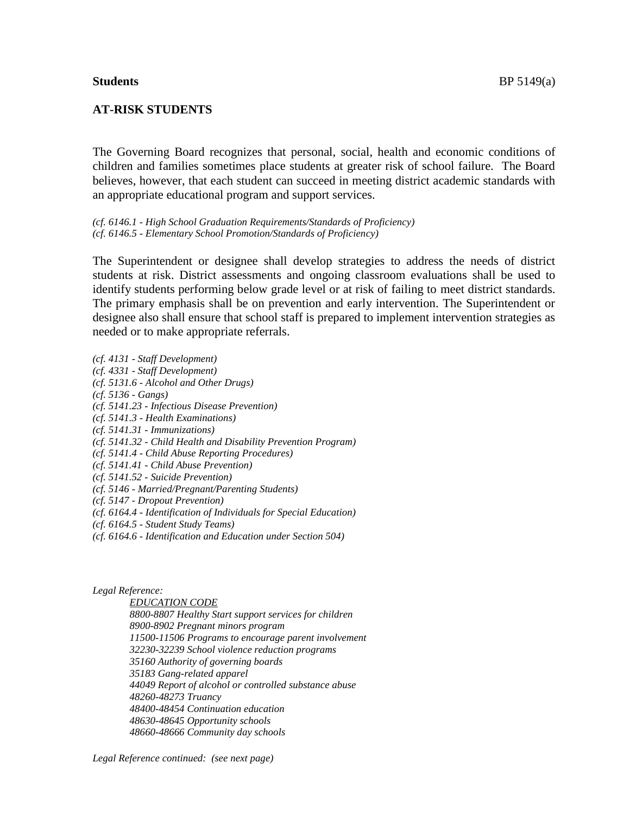# **AT-RISK STUDENTS**

The Governing Board recognizes that personal, social, health and economic conditions of children and families sometimes place students at greater risk of school failure. The Board believes, however, that each student can succeed in meeting district academic standards with an appropriate educational program and support services.

*(cf. 6146.1 - High School Graduation Requirements/Standards of Proficiency) (cf. 6146.5 - Elementary School Promotion/Standards of Proficiency)*

The Superintendent or designee shall develop strategies to address the needs of district students at risk. District assessments and ongoing classroom evaluations shall be used to identify students performing below grade level or at risk of failing to meet district standards. The primary emphasis shall be on prevention and early intervention. The Superintendent or designee also shall ensure that school staff is prepared to implement intervention strategies as needed or to make appropriate referrals.

- *(cf. 4131 - Staff Development)*
- *(cf. 4331 - Staff Development)*
- *(cf. 5131.6 - Alcohol and Other Drugs)*
- *(cf. 5136 - Gangs)*
- *(cf. 5141.23 - Infectious Disease Prevention)*
- *(cf. 5141.3 - Health Examinations)*
- *(cf. 5141.31 - Immunizations)*
- *(cf. 5141.32 - Child Health and Disability Prevention Program)*
- *(cf. 5141.4 - Child Abuse Reporting Procedures)*
- *(cf. 5141.41 - Child Abuse Prevention)*
- *(cf. 5141.52 - Suicide Prevention)*
- *(cf. 5146 - Married/Pregnant/Parenting Students)*
- *(cf. 5147 - Dropout Prevention)*
- *(cf. 6164.4 - Identification of Individuals for Special Education)*
- *(cf. 6164.5 - Student Study Teams)*
- *(cf. 6164.6 - Identification and Education under Section 504)*

#### *Legal Reference:*

*EDUCATION CODE 8800-8807 Healthy Start support services for children 8900-8902 Pregnant minors program 11500-11506 Programs to encourage parent involvement 32230-32239 School violence reduction programs 35160 Authority of governing boards 35183 Gang-related apparel 44049 Report of alcohol or controlled substance abuse 48260-48273 Truancy 48400-48454 Continuation education 48630-48645 Opportunity schools 48660-48666 Community day schools*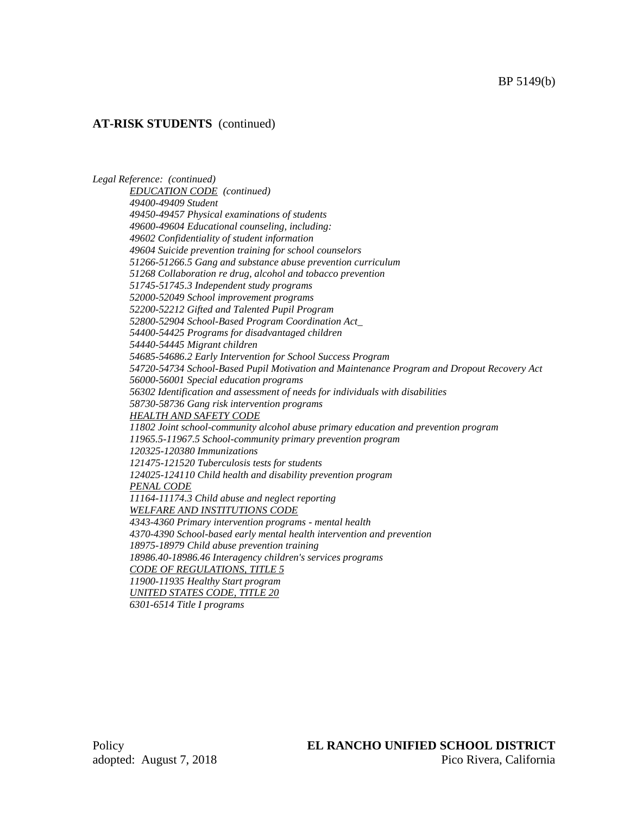#### BP 5149(b)

## **AT-RISK STUDENTS** (continued)

*Legal Reference: (continued) EDUCATION CODE (continued) 49400-49409 Student 49450-49457 Physical examinations of students 49600-49604 Educational counseling, including: 49602 Confidentiality of student information 49604 Suicide prevention training for school counselors 51266-51266.5 Gang and substance abuse prevention curriculum 51268 Collaboration re drug, alcohol and tobacco prevention 51745-51745.3 Independent study programs 52000-52049 School improvement programs 52200-52212 Gifted and Talented Pupil Program 52800-52904 School-Based Program Coordination Act\_ 54400-54425 Programs for disadvantaged children 54440-54445 Migrant children 54685-54686.2 Early Intervention for School Success Program 54720-54734 School-Based Pupil Motivation and Maintenance Program and Dropout Recovery Act 56000-56001 Special education programs 56302 Identification and assessment of needs for individuals with disabilities 58730-58736 Gang risk intervention programs HEALTH AND SAFETY CODE 11802 Joint school-community alcohol abuse primary education and prevention program 11965.5-11967.5 School-community primary prevention program 120325-120380 Immunizations 121475-121520 Tuberculosis tests for students 124025-124110 Child health and disability prevention program PENAL CODE 11164-11174.3 Child abuse and neglect reporting WELFARE AND INSTITUTIONS CODE 4343-4360 Primary intervention programs - mental health 4370-4390 School-based early mental health intervention and prevention 18975-18979 Child abuse prevention training 18986.40-18986.46 Interagency children's services programs CODE OF REGULATIONS, TITLE 5 11900-11935 Healthy Start program UNITED STATES CODE, TITLE 20 6301-6514 Title I programs*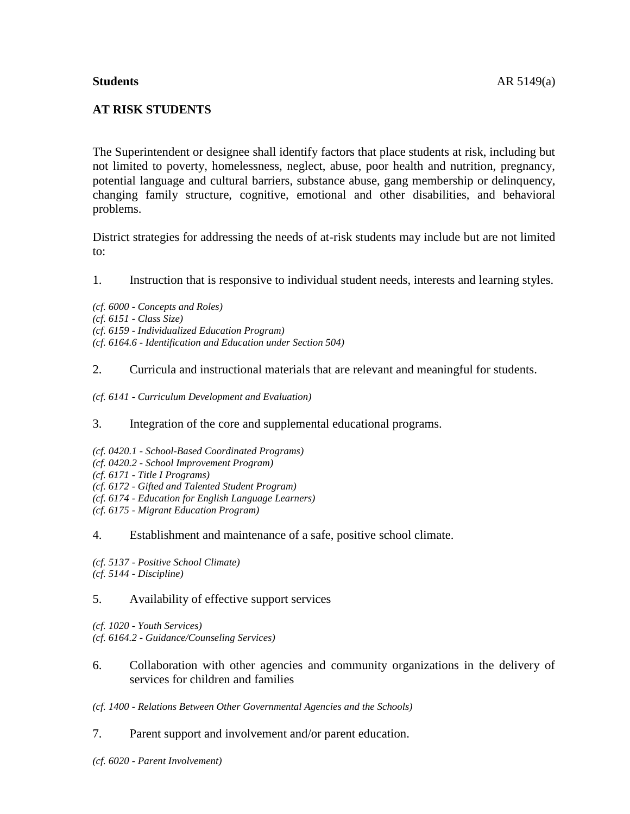## **Students** AR 5149(a)

The Superintendent or designee shall identify factors that place students at risk, including but not limited to poverty, homelessness, neglect, abuse, poor health and nutrition, pregnancy, potential language and cultural barriers, substance abuse, gang membership or delinquency, changing family structure, cognitive, emotional and other disabilities, and behavioral problems.

District strategies for addressing the needs of at-risk students may include but are not limited to:

1. Instruction that is responsive to individual student needs, interests and learning styles.

*(cf. 6000 - Concepts and Roles) (cf. 6151 - Class Size) (cf. 6159 - Individualized Education Program) (cf. 6164.6 - Identification and Education under Section 504)*

# 2. Curricula and instructional materials that are relevant and meaningful for students.

*(cf. 6141 - Curriculum Development and Evaluation)*

3. Integration of the core and supplemental educational programs.

- *(cf. 0420.1 - School-Based Coordinated Programs)*
- *(cf. 0420.2 - School Improvement Program)*
- *(cf. 6171 - Title I Programs)*
- *(cf. 6172 - Gifted and Talented Student Program)*
- *(cf. 6174 - Education for English Language Learners)*
- *(cf. 6175 - Migrant Education Program)*

#### 4. Establishment and maintenance of a safe, positive school climate.

*(cf. 5137 - Positive School Climate) (cf. 5144 - Discipline)*

# 5. Availability of effective support services

*(cf. 1020 - Youth Services) (cf. 6164.2 - Guidance/Counseling Services)*

6. Collaboration with other agencies and community organizations in the delivery of services for children and families

*(cf. 1400 - Relations Between Other Governmental Agencies and the Schools)*

#### 7. Parent support and involvement and/or parent education.

*(cf. 6020 - Parent Involvement)*